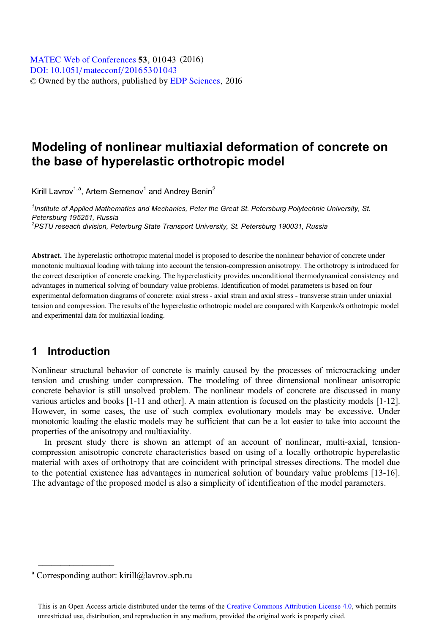# **Modeling of nonlinear multiaxial deformation of concrete on the base of hyperelastic orthotropic model**

Kirill Lavrov<sup>1,a</sup>, Artem Semenov<sup>1</sup> and Andrey Benin<sup>2</sup>

<sup>1</sup> Institute of Applied Mathematics and Mechanics, Peter the Great St. Petersburg Polytechnic University, St. *Petersburg 195251, Russia 2 PSTU reseach division, Peterburg State Transport University, St. Petersburg 190031, Russia* 

**Abstract.** The hyperelastic orthotropic material model is proposed to describe the nonlinear behavior of concrete under monotonic multiaxial loading with taking into account the tension-compression anisotropy. The orthotropy is introduced for the correct description of concrete cracking. The hyperelasticity provides unconditional thermodynamical consistency and advantages in numerical solving of boundary value problems. Identification of model parameters is based on four experimental deformation diagrams of concrete: axial stress - axial strain and axial stress - transverse strain under uniaxial tension and compression. The results of the hyperelastic orthotropic model are compared with Karpenko's orthotropic model and experimental data for multiaxial loading.

### **1 Introduction**

Nonlinear structural behavior of concrete is mainly caused by the processes of microcracking under tension and crushing under compression. The modeling of three dimensional nonlinear anisotropic concrete behavior is still unsolved problem. The nonlinear models of concrete are discussed in many various articles and books [1-11 and other]. A main attention is focused on the plasticity models [1-12]. However, in some cases, the use of such complex evolutionary models may be excessive. Under monotonic loading the elastic models may be sufficient that can be a lot easier to take into account the properties of the anisotropy and multiaxiality.

In present study there is shown an attempt of an account of nonlinear, multi-axial, tensioncompression anisotropic concrete characteristics based on using of a locally orthotropic hyperelastic material with axes of orthotropy that are coincident with principal stresses directions. The model due to the potential existence has advantages in numerical solution of boundary value problems [13-16]. The advantage of the proposed model is also a simplicity of identification of the model parameters.

 $\mathcal{L}$  , we have the set of the set of the set of the set of the set of the set of the set of the set of the set of the set of the set of the set of the set of the set of the set of the set of the set of the set of the

<sup>&</sup>lt;sup>a</sup> Corresponding author: kirill@lavrov.spb.ru

This is an Open Access article distributed under the terms of the Creative Commons Attribution License 4.0, which permits unrestricted use, distribution, and reproduction in any medium, provided the original work is properly cited.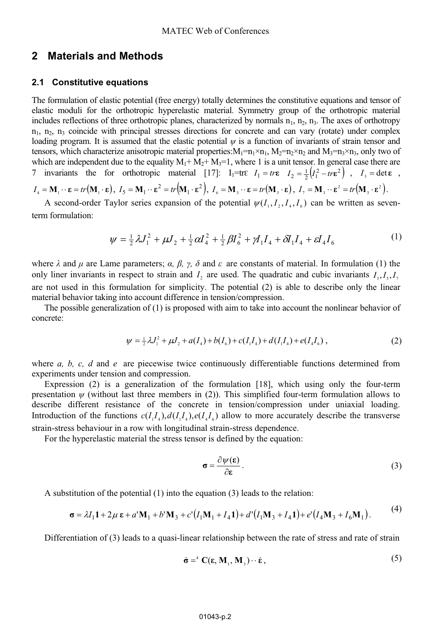### **2 Materials and Methods**

#### **2.1 Constitutive equations**

The formulation of elastic potential (free energy) totally determines the constitutive equations and tensor of elastic moduli for the orthotropic hyperelastic material. Symmetry group of the orthotropic material includes reflections of three orthotropic planes, characterized by normals  $n_1$ ,  $n_2$ ,  $n_3$ . The axes of orthotropy  $n_1$ ,  $n_2$ ,  $n_3$  coincide with principal stresses directions for concrete and can vary (rotate) under complex loading program. It is assumed that the elastic potential  $\psi$  is a function of invariants of strain tensor and tensors, which characterize anisotropic material properties:  $M_1=m_1\times n_1$ ,  $M_2=m_2\times n_2$  and  $M_3=m_3\times n_3$ , only two of which are independent due to the equality  $M_1 + M_2 + M_3 = 1$ , where 1 is a unit tensor. In general case there are 7 invariants the for orthotropic material [17]:  $I_1=tr\epsilon$   $I_1=tr\epsilon$   $I_2=\frac{1}{2}(I_1^2-tr\epsilon^2)$ ,  $I_3=det\epsilon$ ,  $I_4 = \mathbf{M}_1 \cdot \mathbf{\epsilon} = tr(\mathbf{M}_1 \cdot \mathbf{\epsilon})$ ,  $I_5 = \mathbf{M}_1 \cdot \mathbf{\epsilon}^2 = tr(\mathbf{M}_1 \cdot \mathbf{\epsilon}^2)$ ,  $I_6 = \mathbf{M}_3 \cdot \mathbf{\epsilon} = tr(\mathbf{M}_3 \cdot \mathbf{\epsilon})$ ,  $I_7 = \mathbf{M}_3 \cdot \mathbf{\epsilon}^2 = tr(\mathbf{M}_3 \cdot \mathbf{\epsilon}^2)$ .

A second-order Taylor series expansion of the potential  $\psi(I_1, I_2, I_3, I_4)$  can be written as seventerm formulation:

$$
\psi = \frac{1}{2}\lambda J_1^2 + \mu J_2 + \frac{1}{2}\alpha I_4^2 + \frac{1}{2}\beta I_6^2 + \mu I_1 I_4 + \delta I_1 I_4 + \varepsilon I_4 I_6 \tag{1}
$$

where  $\lambda$  and  $\mu$  are Lame parameters;  $\alpha$ ,  $\beta$ ,  $\gamma$ ,  $\delta$  and  $\epsilon$  are constants of material. In formulation (1) the only liner invariants in respect to strain and  $I_1$  are used. The quadratic and cubic invariants  $I_1, I_2, I_3$ are not used in this formulation for simplicity. The potential (2) is able to describe only the linear material behavior taking into account difference in tension/compression.

The possible generalization of (1) is proposed with aim to take into account the nonlinear behavior of concrete:

$$
\psi = \frac{1}{2}\lambda J_1^2 + \mu J_2 + a(I_4) + b(I_6) + c(I_1 I_4) + d(I_1 I_4) + e(I_4 I_6) \,,\tag{2}
$$

where *a, b, c, d* and *e* are piecewise twice continuously differentiable functions determined from experiments under tension and compression.

Expression (2) is a generalization of the formulation [18], which using only the four-term presentation  $\psi$  (without last three members in (2)). This simplified four-term formulation allows to describe different resistance of the concrete in tension/compression under uniaxial loading. Introduction of the functions  $c(I_1I_4)$ ,  $d(I_1I_4)$ ,  $e(I_4I_6)$  allow to more accurately describe the transverse strain-stress behaviour in a row with longitudinal strain-stress dependence.

For the hyperelastic material the stress tensor is defined by the equation:

$$
\sigma = \frac{\partial \psi(\varepsilon)}{\partial \varepsilon}.
$$
 (3)

A substitution of the potential (1) into the equation (3) leads to the relation:

$$
\sigma = \lambda I_1 \mathbf{1} + 2\mu \, \mathbf{\varepsilon} + a' \mathbf{M}_1 + b' \mathbf{M}_3 + c' (I_1 \mathbf{M}_1 + I_4 \mathbf{1}) + d' (I_1 \mathbf{M}_3 + I_4 \mathbf{1}) + e' (I_4 \mathbf{M}_3 + I_6 \mathbf{M}_1).
$$
 (4)

Differentiation of (3) leads to a quasi-linear relationship between the rate of stress and rate of strain

$$
\dot{\boldsymbol{\sigma}} = {}^{4} \mathbf{C}(\boldsymbol{\epsilon}, \mathbf{M}_{1}, \mathbf{M}_{3}) \cdot \dot{\boldsymbol{\epsilon}}, \tag{5}
$$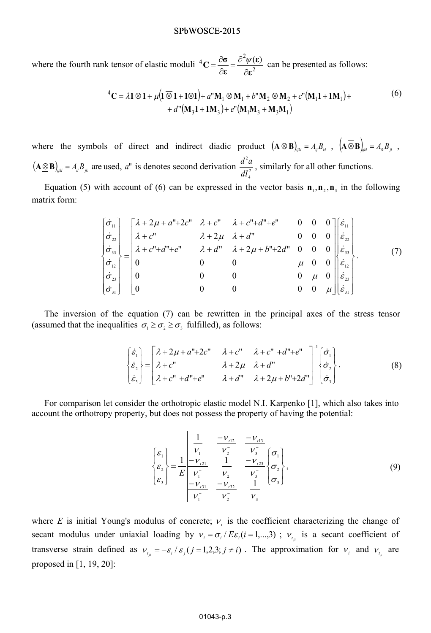#### SPbWOSCE-2015

where the fourth rank tensor of elastic moduli  ${}^{4}C = \frac{\partial \sigma}{\partial s} = \frac{\partial^2 \psi(\epsilon)}{\partial s^2}$ **-** $\frac{\sigma}{\epsilon} = \frac{\partial^2 \psi(\epsilon)}{\partial \epsilon^2}$  $\sigma$  $\mathbf{c}$  –  $\partial \mathbf{\varepsilon}$  –  $\partial$  $=\frac{\partial \sigma}{\partial \varepsilon} = \frac{\partial^2 \psi(\varepsilon)}{\partial \varepsilon^2}$  can be presented as follows:

$$
{}^{4}C = \lambda 1 \otimes 1 + \mu (1 \otimes 1 + 1 \otimes 1) + a^{n} M_{1} \otimes M_{1} + b^{n} M_{2} \otimes M_{2} + c^{n} (M_{1} 1 + 1 M_{1}) ++ d^{n} (M_{3} 1 + 1 M_{3}) + e^{n} (M_{1} M_{3} + M_{3} M_{1})
$$
(6)

where the symbols of direct and indirect diadic product  $(\mathbf{A} \otimes \mathbf{B})_{ijkl} = A_{ij}B_{kl}$ ,  $(\mathbf{A} \otimes \mathbf{B})_{jkl} = A_{ik}B_{jl}$ ,  $\left(\mathbf{A} \otimes \mathbf{B}\right)_{ijkl} = A_{il}B_{jk}$  are used, *a*" is denotes second derivation  $\frac{d^2a}{dt^2}$ 4  $\frac{d^2a}{dt^2}$ , similarly for all other functions.

Equation (5) with account of (6) can be expressed in the vector basis  $\mathbf{n}_1, \mathbf{n}_2, \mathbf{n}_3$  in the following matrix form:

$$
\begin{bmatrix}\n\dot{\sigma}_{11} \\
\dot{\sigma}_{22} \\
\dot{\sigma}_{33} \\
\dot{\sigma}_{12} \\
\dot{\sigma}_{23} \\
\dot{\sigma}_{33}\n\end{bmatrix}\n\begin{bmatrix}\n\lambda + 2\mu + a'' + 2c'' & \lambda + c'' & \lambda + c'' + d'' + e'' & 0 & 0 & 0 \\
\lambda + c'' & \lambda + 2\mu & \lambda + d'' & 0 & 0 & 0 \\
\lambda + c'' + d'' + e'' & \lambda + d'' & \lambda + 2\mu + b'' + 2d'' & 0 & 0 & 0 \\
0 & 0 & 0 & \mu & 0 & \hat{\epsilon}_{12} \\
0 & 0 & 0 & 0 & \mu & 0 \\
0 & 0 & 0 & 0 & \mu & 0 \\
0 & 0 & 0 & 0 & 0 & \mu\n\end{bmatrix}\n\begin{bmatrix}\n\dot{\varepsilon}_{11} \\
\dot{\varepsilon}_{22} \\
\dot{\varepsilon}_{33} \\
\dot{\varepsilon}_{12} \\
\dot{\varepsilon}_{23} \\
\dot{\varepsilon}_{31}\n\end{bmatrix}.
$$
\n(7)

The inversion of the equation (7) can be rewritten in the principal axes of the stress tensor (assumed that the inequalities  $\sigma_1 \ge \sigma_2 \ge \sigma_3$  fulfilled), as follows:

$$
\begin{cases}\n\dot{\varepsilon}_1 \\
\dot{\varepsilon}_2 \\
\dot{\varepsilon}_3\n\end{cases} =\n\begin{bmatrix}\n\lambda + 2\mu + a'' + 2c'' & \lambda + c'' & \lambda + c'' + d'' + e'' \\
\lambda + 2\mu & \lambda + d'' & \lambda + d'' \\
\lambda + c'' & \lambda + d'' & \lambda + 2\mu + b'' + 2d''\n\end{bmatrix}^{-1}\n\begin{bmatrix}\n\dot{\sigma}_1 \\
\dot{\sigma}_2 \\
\dot{\sigma}_3\n\end{bmatrix}.
$$
\n(8)

For comparison let consider the orthotropic elastic model N.I. Karpenko [1], which also takes into account the orthotropy property, but does not possess the property of having the potential:

$$
\begin{bmatrix} \varepsilon_1 \\ \varepsilon_2 \\ \varepsilon_3 \end{bmatrix} = \frac{1}{E} \begin{bmatrix} \frac{1}{\nu_1} & \frac{-\nu_{12}}{\nu_2} & \frac{-\nu_{13}}{\nu_3} \\ \frac{-\nu_{121}}{\nu_1} & \frac{1}{\nu_2} & \frac{-\nu_{123}}{\nu_3} \\ \frac{-\nu_{131}}{\nu_1} & \frac{-\nu_{132}}{\nu_2} & \frac{1}{\nu_3} \\ \frac{-\nu_{131}}{\nu_1} & \frac{-\nu_{132}}{\nu_2} & \frac{1}{\nu_3} \end{bmatrix} \begin{bmatrix} \sigma_1 \\ \sigma_2 \\ \sigma_3 \end{bmatrix},\tag{9}
$$

where *E* is initial Young's modulus of concrete;  $v_i$  is the coefficient characterizing the change of secant modulus under uniaxial loading by  $v_i = \sigma_i / E \varepsilon_i (i = 1,...,3)$ ;  $v_{i_i}$  is a secant coefficient of transverse strain defined as  $v_{i} = -\varepsilon_i / \varepsilon_j (j = 1, 2, 3; j \neq i)$ . The approximation for  $v_i$  and  $v_{i}$  are proposed in [1, 19, 20]: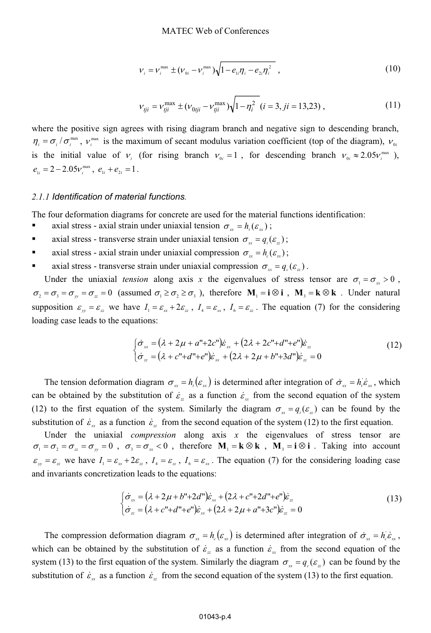$$
V_{i} = V_{i}^{\max} \pm (V_{0i} - V_{i}^{\max}) \sqrt{1 - e_{1i} \eta_{i} - e_{2i} \eta_{i}^{2}} , \qquad (10)
$$

$$
v_{tji} = v_{tji}^{\max} \pm (v_{0tji} - v_{tji}^{\max}) \sqrt{1 - \eta_i^2} \ (i = 3, ji = 13,23) \,, \tag{11}
$$

where the positive sign agrees with rising diagram branch and negative sign to descending branch,  $\eta_i = \sigma_i / \sigma_i^{\max}$ ,  $v_i^{\max}$  is the maximum of secant modulus variation coefficient (top of the diagram),  $v_{0i}$ is the initial value of  $v_i$  (for rising branch  $v_{0i} = 1$ , for descending branch  $v_{0i} \approx 2.05 v_i^{\text{max}}$ ),  $e_{1i} = 2 - 2.05v_i^{\text{max}}$ ,  $e_{1i} + e_{2i} = 1$ .

#### *2.1.1 Identification of material functions.*

The four deformation diagrams for concrete are used for the material functions identification:

- xial stress - axial strain under uniaxial tension  $\sigma_{\text{r}} = h_{\text{i}}(\varepsilon_{\text{r}})$ ;
- **axial stress - transverse strain under uniaxial tension**  $\sigma_{\text{r}} = q_i(\varepsilon_{\text{r}})$ **;**
- axial stress - axial strain under uniaxial compression  $\sigma_{\rm w} = h_c(\varepsilon_{\rm w});$
- axial stress - transverse strain under uniaxial compression  $\sigma_{\alpha} = q_c(\varepsilon_{\alpha})$ .

Under the uniaxial *tension* along axis x the eigenvalues of stress tensor are  $\sigma_1 = \sigma_{xx} > 0$ ,  $\sigma_2 = \sigma_3 = \sigma_{yy} = \sigma_{zz} = 0$  (assumed  $\sigma_1 \ge \sigma_2 \ge \sigma_3$ ), therefore  $\mathbf{M}_1 = \mathbf{i} \otimes \mathbf{i}$ ,  $\mathbf{M}_3 = \mathbf{k} \otimes \mathbf{k}$ . Under natural supposition  $\varepsilon_{y} = \varepsilon_{z}$  we have  $I_1 = \varepsilon_{xx} + 2\varepsilon_{zz}$ ,  $I_4 = \varepsilon_{xx}$ ,  $I_6 = \varepsilon_{zz}$ . The equation (7) for the considering loading case leads to the equations:

$$
\begin{cases} \dot{\sigma}_{xx} = (\lambda + 2\mu + a'' + 2c'')\dot{\varepsilon}_{xx} + (2\lambda + 2c'' + d'' + e'')\dot{\varepsilon}_{zz} \\ \dot{\sigma}_{zz} = (\lambda + c'' + d'' + e'')\dot{\varepsilon}_{xx} + (2\lambda + 2\mu + b'' + 3d'')\dot{\varepsilon}_{zz} = 0 \end{cases}
$$
(12)

The tension deformation diagram  $\sigma_{\text{r}} = h_{\text{i}}(\varepsilon_{\text{r}})$  is determined after integration of  $\dot{\sigma}_{\text{r}} = h_{\text{i}} \dot{\varepsilon}_{\text{r}}$ , which can be obtained by the substitution of  $\dot{\varepsilon}_x$  as a function  $\dot{\varepsilon}_x$  from the second equation of the system (12) to the first equation of the system. Similarly the diagram  $\sigma_{\rm r} = q_i(\varepsilon_z)$  can be found by the substitution of  $\dot{\varepsilon}_x$  as a function  $\dot{\varepsilon}_x$  from the second equation of the system (12) to the first equation.

Under the uniaxial *compression* along axis *x* the eigenvalues of stress tensor are  $\sigma_1 = \sigma_2 = \sigma_{zz} = \sigma_{yy} = 0$ ,  $\sigma_3 = \sigma_{xx} < 0$ , therefore  $\mathbf{M}_1 = \mathbf{k} \otimes \mathbf{k}$ ,  $\mathbf{M}_3 = \mathbf{i} \otimes \mathbf{i}$ . Taking into account  $\varepsilon_{yy} = \varepsilon_{zz}$  we have  $I_1 = \varepsilon_{xx} + 2\varepsilon_{zz}$ ,  $I_4 = \varepsilon_{zz}$ ,  $I_6 = \varepsilon_{xx}$ . The equation (7) for the considering loading case and invariants concretization leads to the equations:

$$
\begin{cases} \dot{\sigma}_{\text{xx}} = (\lambda + 2\mu + b'' + 2d'')\dot{\varepsilon}_{\text{xx}} + (2\lambda + c'' + 2d'' + e'')\dot{\varepsilon}_{\text{zz}} \\ \dot{\sigma}_{\text{zz}} = (\lambda + c'' + d'' + e'')\dot{\varepsilon}_{\text{xx}} + (2\lambda + 2\mu + a'' + 3c'')\dot{\varepsilon}_{\text{zz}} = 0 \end{cases}
$$
(13)

The compression deformation diagram  $\sigma_{xx} = h_c(\varepsilon_{xx})$  is determined after integration of  $\dot{\sigma}_{xx} = h_c \dot{\varepsilon}_{xx}$ , which can be obtained by the substitution of  $\dot{\varepsilon}_x$  as a function  $\dot{\varepsilon}_x$  from the second equation of the system (13) to the first equation of the system. Similarly the diagram  $\sigma_{xx} = q_c(\varepsilon_x)$  can be found by the substitution of  $\dot{\varepsilon}_x$  as a function  $\dot{\varepsilon}_x$  from the second equation of the system (13) to the first equation.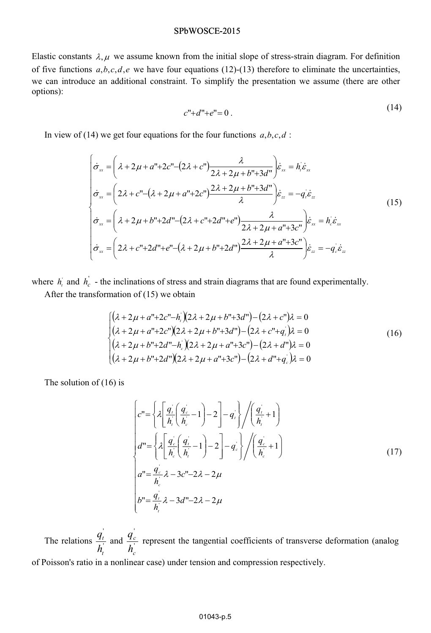#### SPbWOSCE-2015

Elastic constants  $\lambda, \mu$  we assume known from the initial slope of stress-strain diagram. For definition of five functions  $a,b,c,d,e$  we have four equations (12)-(13) therefore to eliminate the uncertainties, we can introduce an additional constraint. To simplify the presentation we assume (there are other options):

$$
c'' + d'' + e'' = 0.
$$
\n(14)

In view of (14) we get four equations for the four functions  $a, b, c, d$ :

$$
\begin{cases}\n\dot{\sigma}_{\text{xx}} = \left(\lambda + 2\mu + a'' + 2c'' - (2\lambda + c'')\frac{\lambda}{2\lambda + 2\mu + b'' + 3d''}\right)\dot{\varepsilon}_{\text{xx}} = h_{\text{i}}\dot{\varepsilon}_{\text{xx}} \\
\dot{\sigma}_{\text{xx}} = \left(2\lambda + c'' - (\lambda + 2\mu + a'' + 2c'')\frac{2\lambda + 2\mu + b'' + 3d''}{\lambda}\right)\dot{\varepsilon}_{\text{zz}} = -q_{\text{i}}\dot{\varepsilon}_{\text{zz}} \\
\dot{\sigma}_{\text{xx}} = \left(\lambda + 2\mu + b'' + 2d'' - (2\lambda + c'' + 2d'' + e'')\frac{\lambda}{2\lambda + 2\mu + a'' + 3c''}\right)\dot{\varepsilon}_{\text{xx}} = h_{\text{i}}\dot{\varepsilon}_{\text{xx}} \\
\dot{\sigma}_{\text{xx}} = \left(2\lambda + c'' + 2d'' + e'' - (\lambda + 2\mu + b'' + 2d'')\frac{2\lambda + 2\mu + a'' + 3c''}{\lambda}\right)\dot{\varepsilon}_{\text{zz}} = -q_{\text{i}}\dot{\varepsilon}_{\text{zz}}\n\end{cases}
$$
\n(15)

where  $h_i$  and  $h_c$  - the inclinations of stress and strain diagrams that are found experimentally.

After the transformation of (15) we obtain

$$
\begin{cases}\n(\lambda + 2\mu + a'' + 2c'' - h_i)(2\lambda + 2\mu + b'' + 3d'') - (2\lambda + c'')\lambda = 0 \\
(\lambda + 2\mu + a'' + 2c'')(2\lambda + 2\mu + b'' + 3d'') - (2\lambda + c'' + q_i)\lambda = 0 \\
(\lambda + 2\mu + b'' + 2d'' - h_i)(2\lambda + 2\mu + a'' + 3c'') - (2\lambda + d'')\lambda = 0 \\
(\lambda + 2\mu + b'' + 2d'')(2\lambda + 2\mu + a'' + 3c'') - (2\lambda + d'' + q_i)\lambda = 0\n\end{cases}
$$
\n(16)

The solution of (16) is

$$
\begin{cases}\nc'' = \left\{\lambda \left[ \frac{q_i}{h_i} \left( \frac{q_c}{h_c} - 1 \right) - 2 \right] - q_i \right\} / \left( \frac{q_i}{h_i} + 1 \right) \\
d'' = \left\{\lambda \left[ \frac{q_c}{h_c} \left( \frac{q_i}{h_i} - 1 \right) - 2 \right] - q_c \right\} / \left( \frac{q_c}{h_c} + 1 \right) \\
a'' = \frac{q_c}{h_c} \lambda - 3c'' - 2\lambda - 2\mu \\
b'' = \frac{q_i}{h_i} \lambda - 3d'' - 2\lambda - 2\mu\n\end{cases} (17)
$$

The relations  $\frac{q_t}{l}$ ' *t t*  $\frac{q_i^{\prime}}{h_i}$  and  $\frac{q_i^{\prime}}{h_i}$ ' *c c*  $\frac{q'_c}{h'}$  represent the tangential coefficients of transverse deformation (analog *h*<sup>†</sup> of Poisson's ratio in a nonlinear case) under tension and compression respectively.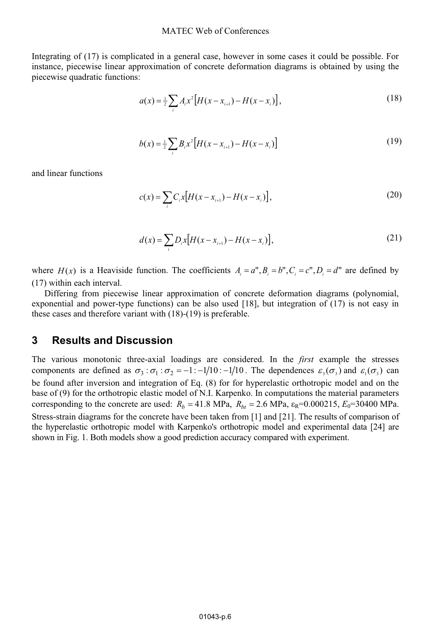#### MATEC Web of Conferences

Integrating of (17) is complicated in a general case, however in some cases it could be possible. For instance, piecewise linear approximation of concrete deformation diagrams is obtained by using the piecewise quadratic functions:

$$
a(x) = \frac{1}{2} \sum_{i} A_{i} x^{2} \left[ H(x - x_{i+1}) - H(x - x_{i}) \right],
$$
\n(18)

$$
b(x) = \frac{1}{2} \sum_{i} B_{i} x^{2} \left[ H(x - x_{i+1}) - H(x - x_{i}) \right]
$$
 (19)

and linear functions

$$
c(x) = \sum_{i} C_{i} x [H(x - x_{i+1}) - H(x - x_{i})],
$$
\n(20)

$$
d(x) = \sum_{i} D_{i} x [H(x - x_{i+1}) - H(x - x_{i})],
$$
\n(21)

where  $H(x)$  is a Heaviside function. The coefficients  $A_i = a^n, B_i = b^n, C_i = c^n, D_i = d^n$  are defined by (17) within each interval.

Differing from piecewise linear approximation of concrete deformation diagrams (polynomial, exponential and power-type functions) can be also used [18], but integration of (17) is not easy in these cases and therefore variant with (18)-(19) is preferable.

### **3 Results and Discussion**

The various monotonic three-axial loadings are considered. In the *first* example the stresses components are defined as  $\sigma_3 : \sigma_1 : \sigma_2 = -1 : -1/10 : -1/10$ . The dependences  $\varepsilon_3(\sigma_3)$  and  $\varepsilon_1(\sigma_3)$  can be found after inversion and integration of Eq. (8) for for hyperelastic orthotropic model and on the base of (9) for the orthotropic elastic model of N.I. Karpenko. In computations the material parameters corresponding to the concrete are used:  $R_b = 41.8 \text{ MPa}$ ,  $R_{bt} = 2.6 \text{ MPa}$ ,  $\varepsilon_R = 0.000215$ ,  $E_0 = 30400 \text{ MPa}$ . Stress-strain diagrams for the concrete have been taken from [1] and [21]. The results of comparison of the hyperelastic orthotropic model with Karpenko's orthotropic model and experimental data [24] are shown in Fig. 1. Both models show a good prediction accuracy compared with experiment.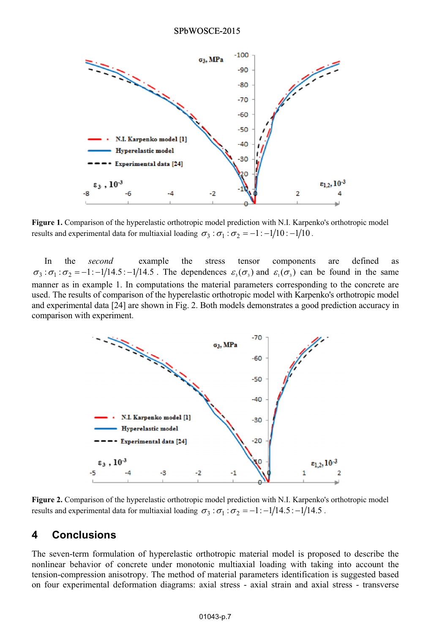

**Figure 1.** Comparison of the hyperelastic orthotropic model prediction with N.I. Karpenko's orthotropic model results and experimental data for multiaxial loading  $\sigma_3 : \sigma_1 : \sigma_2 = -1 : -1/10 : -1/10$ .

In the *second* example the stress tensor components are defined as  $\sigma_3 : \sigma_1 : \sigma_2 = -1 : -1/14.5 : -1/14.5$ . The dependences  $\varepsilon_3(\sigma_3)$  and  $\varepsilon_1(\sigma_3)$  can be found in the same manner as in example 1. In computations the material parameters corresponding to the concrete are used. The results of comparison of the hyperelastic orthotropic model with Karpenko's orthotropic model and experimental data [24] are shown in Fig. 2. Both models demonstrates a good prediction accuracy in comparison with experiment.



**Figure 2.** Comparison of the hyperelastic orthotropic model prediction with N.I. Karpenko's orthotropic model results and experimental data for multiaxial loading  $\sigma_3 : \sigma_1 : \sigma_2 = -1 : -1/14.5 : -1/14.5$ .

### **4 Conclusions**

The seven-term formulation of hyperelastic orthotropic material model is proposed to describe the nonlinear behavior of concrete under monotonic multiaxial loading with taking into account the tension-compression anisotropy. The method of material parameters identification is suggested based on four experimental deformation diagrams: axial stress - axial strain and axial stress - transverse